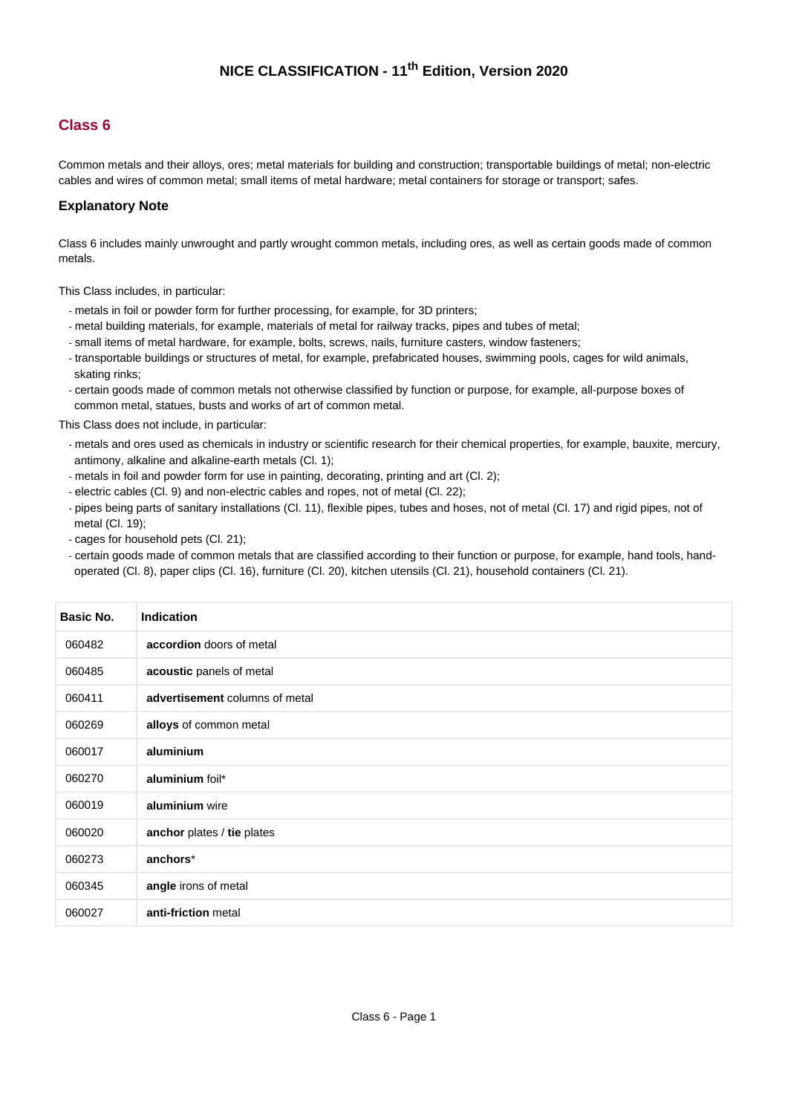#### **Class 6**

Common metals and their alloys, ores; metal materials for building and construction; transportable buildings of metal; non-electric cables and wires of common metal; small items of metal hardware; metal containers for storage or transport; safes.

#### **Explanatory Note**

Class 6 includes mainly unwrought and partly wrought common metals, including ores, as well as certain goods made of common metals.

This Class includes, in particular:

- metals in foil or powder form for further processing, for example, for 3D printers;
- metal building materials, for example, materials of metal for railway tracks, pipes and tubes of metal;
- small items of metal hardware, for example, bolts, screws, nails, furniture casters, window fasteners;
- transportable buildings or structures of metal, for example, prefabricated houses, swimming pools, cages for wild animals, skating rinks;
- certain goods made of common metals not otherwise classified by function or purpose, for example, all-purpose boxes of common metal, statues, busts and works of art of common metal.

This Class does not include, in particular:

- metals and ores used as chemicals in industry or scientific research for their chemical properties, for example, bauxite, mercury, antimony, alkaline and alkaline-earth metals (Cl. 1);
- metals in foil and powder form for use in painting, decorating, printing and art (Cl. 2);
- electric cables (Cl. 9) and non-electric cables and ropes, not of metal (Cl. 22);
- pipes being parts of sanitary installations (Cl. 11), flexible pipes, tubes and hoses, not of metal (Cl. 17) and rigid pipes, not of metal (Cl. 19);
- cages for household pets (Cl. 21);
- certain goods made of common metals that are classified according to their function or purpose, for example, hand tools, handoperated (Cl. 8), paper clips (Cl. 16), furniture (Cl. 20), kitchen utensils (Cl. 21), household containers (Cl. 21).

| <b>Basic No.</b> | <b>Indication</b>              |
|------------------|--------------------------------|
| 060482           | accordion doors of metal       |
| 060485           | acoustic panels of metal       |
| 060411           | advertisement columns of metal |
| 060269           | alloys of common metal         |
| 060017           | aluminium                      |
| 060270           | aluminium foil*                |
| 060019           | aluminium wire                 |
| 060020           | anchor plates / tie plates     |
| 060273           | anchors*                       |
| 060345           | angle irons of metal           |
| 060027           | anti-friction metal            |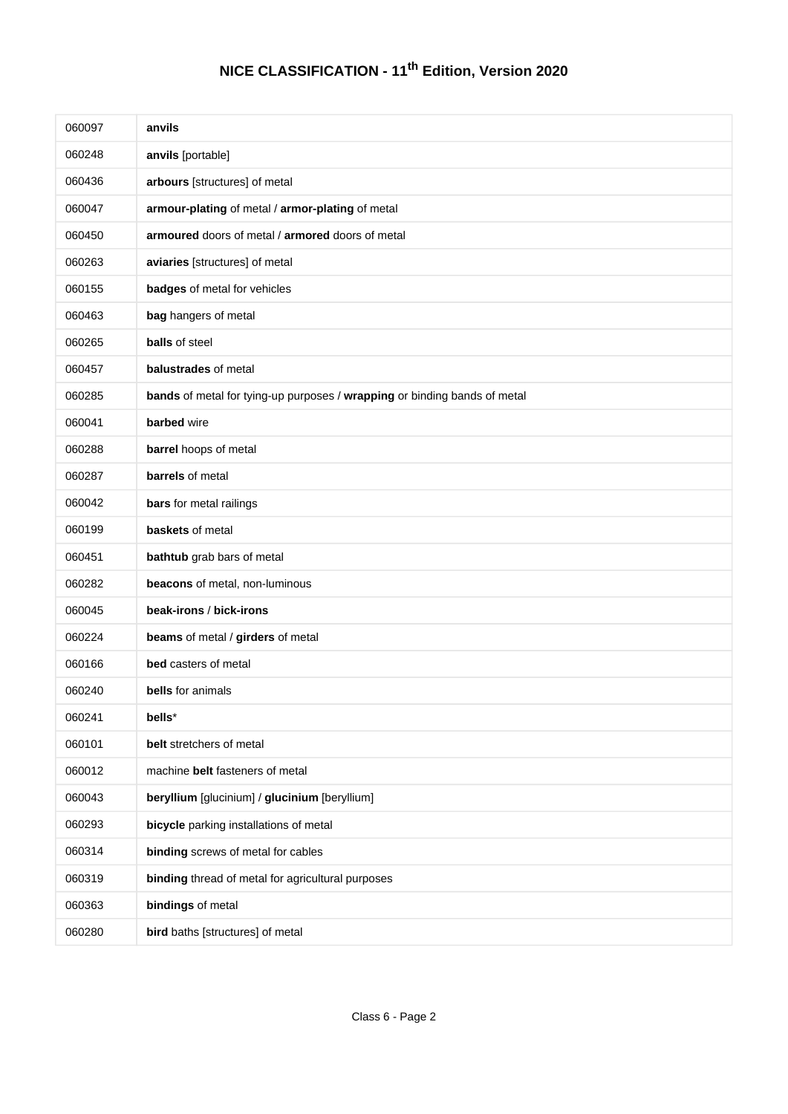| 060097 | anvils                                                                    |
|--------|---------------------------------------------------------------------------|
| 060248 | anvils [portable]                                                         |
| 060436 | arbours [structures] of metal                                             |
| 060047 | armour-plating of metal / armor-plating of metal                          |
| 060450 | armoured doors of metal / armored doors of metal                          |
| 060263 | aviaries [structures] of metal                                            |
| 060155 | badges of metal for vehicles                                              |
| 060463 | bag hangers of metal                                                      |
| 060265 | <b>balls</b> of steel                                                     |
| 060457 | balustrades of metal                                                      |
| 060285 | bands of metal for tying-up purposes / wrapping or binding bands of metal |
| 060041 | barbed wire                                                               |
| 060288 | barrel hoops of metal                                                     |
| 060287 | barrels of metal                                                          |
| 060042 | bars for metal railings                                                   |
| 060199 | baskets of metal                                                          |
| 060451 | bathtub grab bars of metal                                                |
| 060282 | beacons of metal, non-luminous                                            |
| 060045 | beak-irons / bick-irons                                                   |
| 060224 | beams of metal / girders of metal                                         |
| 060166 | bed casters of metal                                                      |
| 060240 | bells for animals                                                         |
| 060241 | bells*                                                                    |
| 060101 | belt stretchers of metal                                                  |
| 060012 | machine belt fasteners of metal                                           |
| 060043 | beryllium [glucinium] / glucinium [beryllium]                             |
| 060293 | bicycle parking installations of metal                                    |
| 060314 | binding screws of metal for cables                                        |
| 060319 | binding thread of metal for agricultural purposes                         |
| 060363 | bindings of metal                                                         |
| 060280 | bird baths [structures] of metal                                          |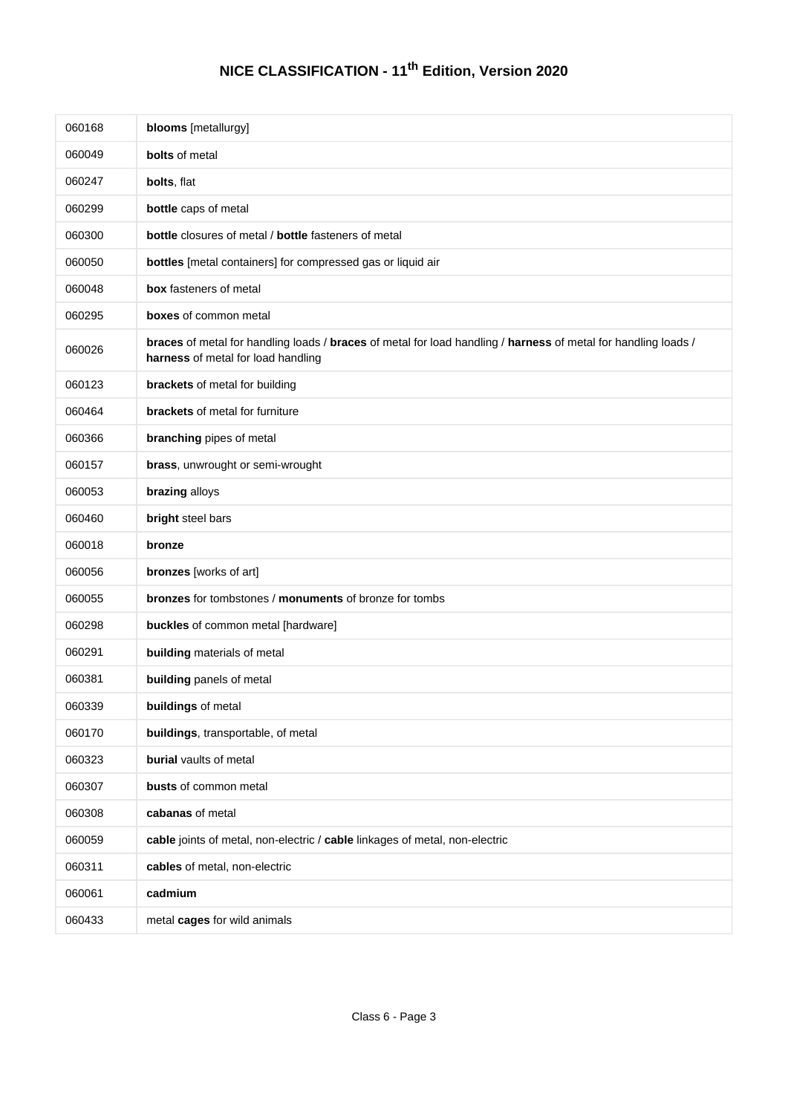| 060168 | blooms [metallurgy]                                                                                                                                  |
|--------|------------------------------------------------------------------------------------------------------------------------------------------------------|
| 060049 | <b>bolts</b> of metal                                                                                                                                |
| 060247 | bolts, flat                                                                                                                                          |
| 060299 | bottle caps of metal                                                                                                                                 |
| 060300 | bottle closures of metal / bottle fasteners of metal                                                                                                 |
| 060050 | bottles [metal containers] for compressed gas or liquid air                                                                                          |
| 060048 | box fasteners of metal                                                                                                                               |
| 060295 | <b>boxes</b> of common metal                                                                                                                         |
| 060026 | braces of metal for handling loads / braces of metal for load handling / harness of metal for handling loads /<br>harness of metal for load handling |
| 060123 | brackets of metal for building                                                                                                                       |
| 060464 | <b>brackets</b> of metal for furniture                                                                                                               |
| 060366 | branching pipes of metal                                                                                                                             |
| 060157 | brass, unwrought or semi-wrought                                                                                                                     |
| 060053 | brazing alloys                                                                                                                                       |
| 060460 | bright steel bars                                                                                                                                    |
| 060018 | bronze                                                                                                                                               |
| 060056 | bronzes [works of art]                                                                                                                               |
| 060055 | <b>bronzes</b> for tombstones / <b>monuments</b> of bronze for tombs                                                                                 |
| 060298 | buckles of common metal [hardware]                                                                                                                   |
| 060291 | building materials of metal                                                                                                                          |
| 060381 | building panels of metal                                                                                                                             |
| 060339 | buildings of metal                                                                                                                                   |
| 060170 | buildings, transportable, of metal                                                                                                                   |
| 060323 | burial vaults of metal                                                                                                                               |
| 060307 | busts of common metal                                                                                                                                |
| 060308 | cabanas of metal                                                                                                                                     |
| 060059 | cable joints of metal, non-electric / cable linkages of metal, non-electric                                                                          |
| 060311 | cables of metal, non-electric                                                                                                                        |
| 060061 | cadmium                                                                                                                                              |
| 060433 | metal cages for wild animals                                                                                                                         |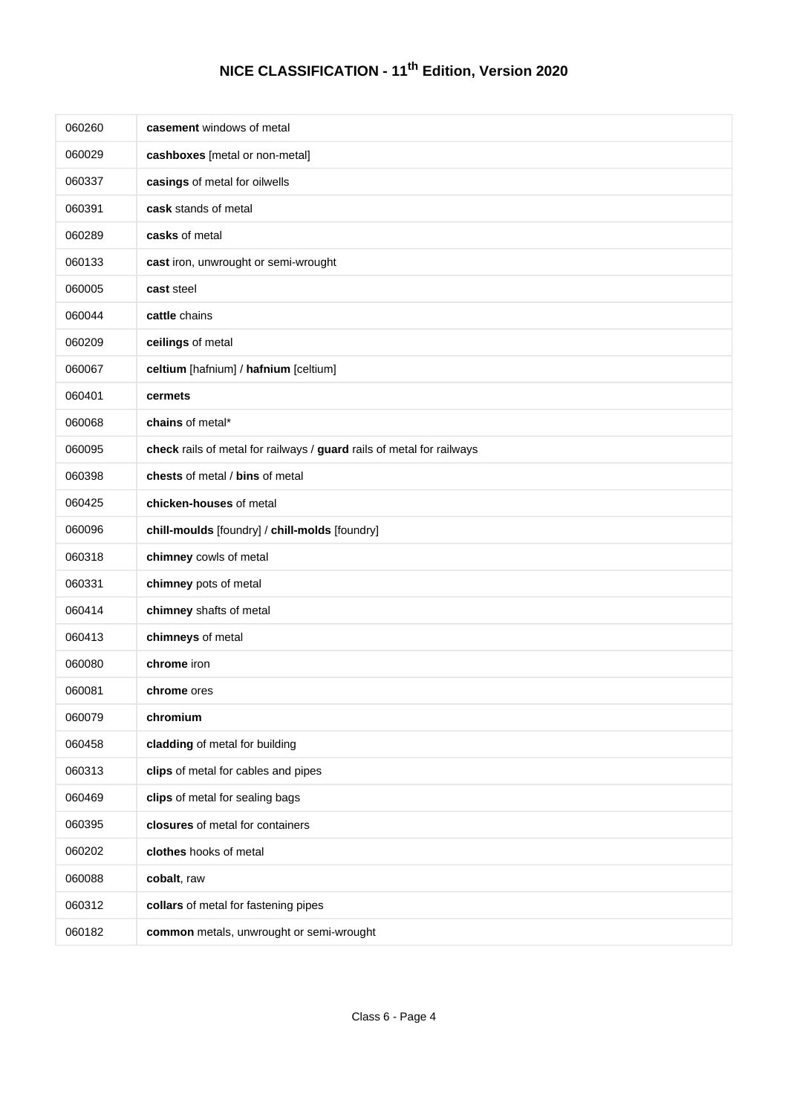| 060260 | casement windows of metal                                             |
|--------|-----------------------------------------------------------------------|
| 060029 | cashboxes [metal or non-metal]                                        |
| 060337 | casings of metal for oilwells                                         |
| 060391 | cask stands of metal                                                  |
| 060289 | casks of metal                                                        |
| 060133 | cast iron, unwrought or semi-wrought                                  |
| 060005 | cast steel                                                            |
| 060044 | cattle chains                                                         |
| 060209 | ceilings of metal                                                     |
| 060067 | celtium [hafnium] / hafnium [celtium]                                 |
| 060401 | cermets                                                               |
| 060068 | chains of metal*                                                      |
| 060095 | check rails of metal for railways / guard rails of metal for railways |
| 060398 | chests of metal / bins of metal                                       |
| 060425 | chicken-houses of metal                                               |
| 060096 | chill-moulds [foundry] / chill-molds [foundry]                        |
| 060318 | chimney cowls of metal                                                |
| 060331 | chimney pots of metal                                                 |
| 060414 | chimney shafts of metal                                               |
| 060413 | chimneys of metal                                                     |
| 060080 | chrome iron                                                           |
| 060081 | chrome ores                                                           |
| 060079 | chromium                                                              |
| 060458 | cladding of metal for building                                        |
| 060313 | clips of metal for cables and pipes                                   |
| 060469 | clips of metal for sealing bags                                       |
| 060395 | closures of metal for containers                                      |
| 060202 | clothes hooks of metal                                                |
| 060088 | cobalt, raw                                                           |
| 060312 | collars of metal for fastening pipes                                  |
| 060182 | common metals, unwrought or semi-wrought                              |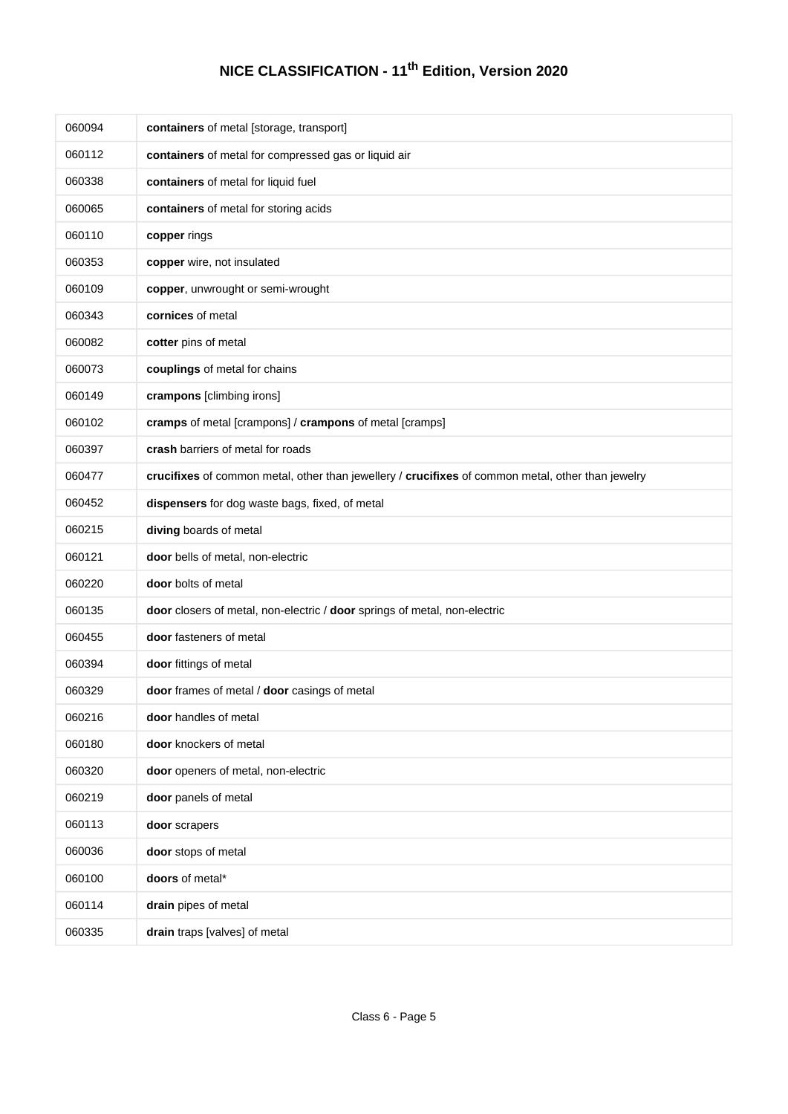| 060094 | containers of metal [storage, transport]                                                          |
|--------|---------------------------------------------------------------------------------------------------|
| 060112 | containers of metal for compressed gas or liquid air                                              |
| 060338 | containers of metal for liquid fuel                                                               |
| 060065 | containers of metal for storing acids                                                             |
| 060110 | copper rings                                                                                      |
| 060353 | copper wire, not insulated                                                                        |
| 060109 | copper, unwrought or semi-wrought                                                                 |
| 060343 | cornices of metal                                                                                 |
| 060082 | cotter pins of metal                                                                              |
| 060073 | couplings of metal for chains                                                                     |
| 060149 | crampons [climbing irons]                                                                         |
| 060102 | cramps of metal [crampons] / crampons of metal [cramps]                                           |
| 060397 | crash barriers of metal for roads                                                                 |
| 060477 | crucifixes of common metal, other than jewellery / crucifixes of common metal, other than jewelry |
| 060452 | dispensers for dog waste bags, fixed, of metal                                                    |
| 060215 | diving boards of metal                                                                            |
| 060121 | door bells of metal, non-electric                                                                 |
| 060220 | door bolts of metal                                                                               |
| 060135 | door closers of metal, non-electric / door springs of metal, non-electric                         |
| 060455 | door fasteners of metal                                                                           |
| 060394 | door fittings of metal                                                                            |
| 060329 | door frames of metal / door casings of metal                                                      |
| 060216 | door handles of metal                                                                             |
| 060180 | door knockers of metal                                                                            |
| 060320 | door openers of metal, non-electric                                                               |
| 060219 | door panels of metal                                                                              |
| 060113 | door scrapers                                                                                     |
| 060036 | door stops of metal                                                                               |
| 060100 | doors of metal*                                                                                   |
| 060114 | drain pipes of metal                                                                              |
| 060335 | drain traps [valves] of metal                                                                     |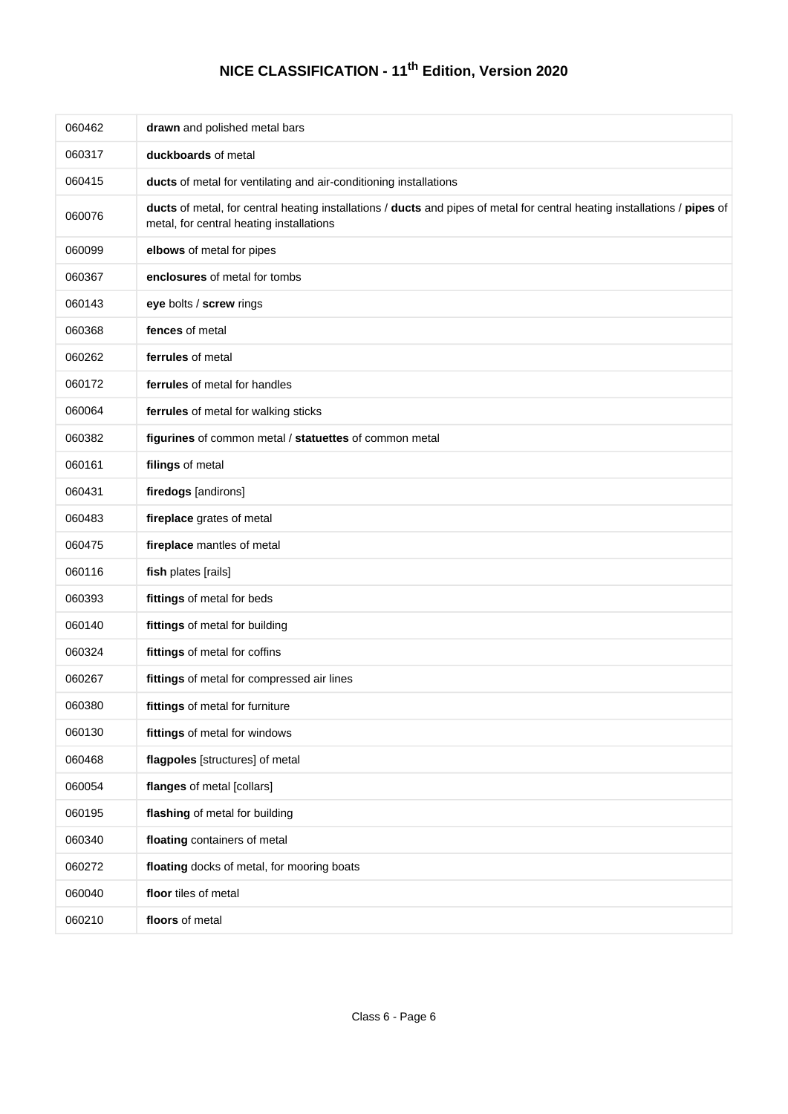| 060462 | drawn and polished metal bars                                                                                                                                         |
|--------|-----------------------------------------------------------------------------------------------------------------------------------------------------------------------|
| 060317 | duckboards of metal                                                                                                                                                   |
| 060415 | ducts of metal for ventilating and air-conditioning installations                                                                                                     |
| 060076 | ducts of metal, for central heating installations / ducts and pipes of metal for central heating installations / pipes of<br>metal, for central heating installations |
| 060099 | elbows of metal for pipes                                                                                                                                             |
| 060367 | enclosures of metal for tombs                                                                                                                                         |
| 060143 | eye bolts / screw rings                                                                                                                                               |
| 060368 | fences of metal                                                                                                                                                       |
| 060262 | ferrules of metal                                                                                                                                                     |
| 060172 | ferrules of metal for handles                                                                                                                                         |
| 060064 | ferrules of metal for walking sticks                                                                                                                                  |
| 060382 | figurines of common metal / statuettes of common metal                                                                                                                |
| 060161 | filings of metal                                                                                                                                                      |
| 060431 | firedogs [andirons]                                                                                                                                                   |
| 060483 | fireplace grates of metal                                                                                                                                             |
| 060475 | fireplace mantles of metal                                                                                                                                            |
| 060116 | fish plates [rails]                                                                                                                                                   |
| 060393 | fittings of metal for beds                                                                                                                                            |
| 060140 | fittings of metal for building                                                                                                                                        |
| 060324 | fittings of metal for coffins                                                                                                                                         |
| 060267 | fittings of metal for compressed air lines                                                                                                                            |
| 060380 | fittings of metal for furniture                                                                                                                                       |
| 060130 | fittings of metal for windows                                                                                                                                         |
| 060468 | flagpoles [structures] of metal                                                                                                                                       |
| 060054 | flanges of metal [collars]                                                                                                                                            |
| 060195 | flashing of metal for building                                                                                                                                        |
| 060340 | floating containers of metal                                                                                                                                          |
| 060272 | floating docks of metal, for mooring boats                                                                                                                            |
| 060040 | floor tiles of metal                                                                                                                                                  |
| 060210 | floors of metal                                                                                                                                                       |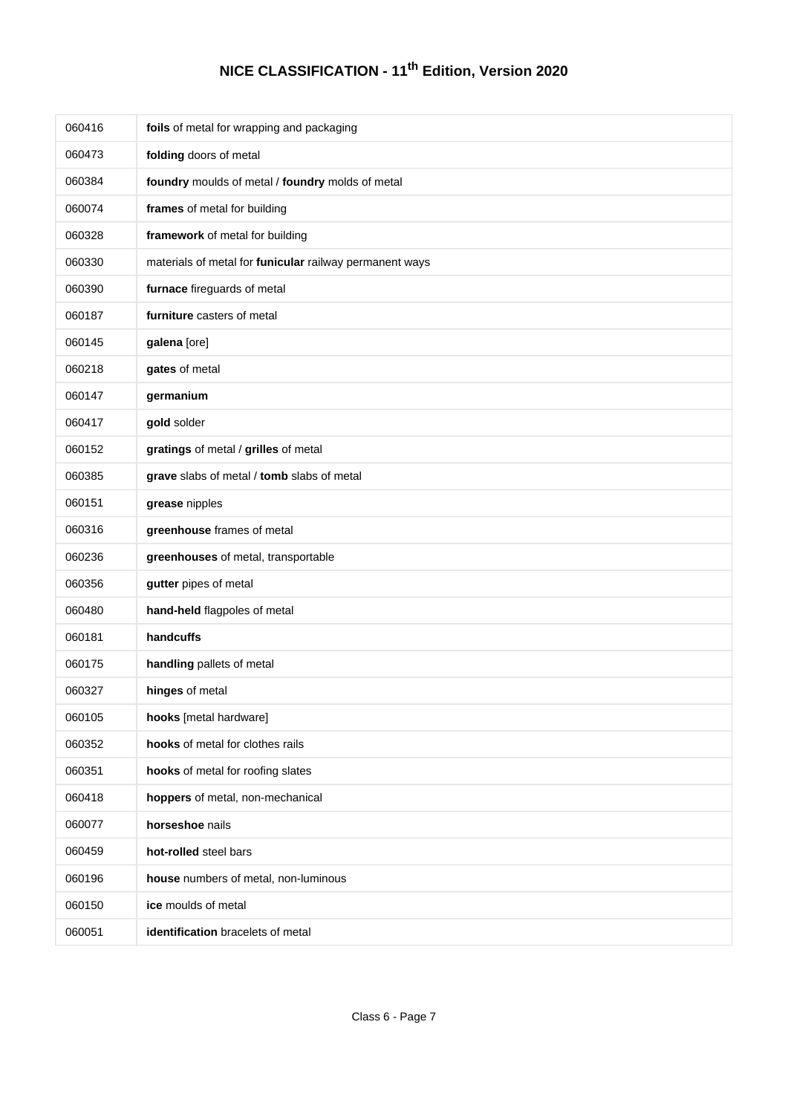| 060416 | foils of metal for wrapping and packaging               |
|--------|---------------------------------------------------------|
| 060473 | folding doors of metal                                  |
| 060384 | foundry moulds of metal / foundry molds of metal        |
| 060074 | frames of metal for building                            |
| 060328 | framework of metal for building                         |
| 060330 | materials of metal for funicular railway permanent ways |
| 060390 | furnace fireguards of metal                             |
| 060187 | furniture casters of metal                              |
| 060145 | galena [ore]                                            |
| 060218 | gates of metal                                          |
| 060147 | germanium                                               |
| 060417 | gold solder                                             |
| 060152 | gratings of metal / grilles of metal                    |
| 060385 | grave slabs of metal / tomb slabs of metal              |
| 060151 | grease nipples                                          |
| 060316 | greenhouse frames of metal                              |
| 060236 | greenhouses of metal, transportable                     |
| 060356 | gutter pipes of metal                                   |
| 060480 | hand-held flagpoles of metal                            |
| 060181 | handcuffs                                               |
| 060175 | handling pallets of metal                               |
| 060327 | hinges of metal                                         |
| 060105 | hooks [metal hardware]                                  |
| 060352 | hooks of metal for clothes rails                        |
| 060351 | hooks of metal for roofing slates                       |
| 060418 | hoppers of metal, non-mechanical                        |
| 060077 | horseshoe nails                                         |
| 060459 | hot-rolled steel bars                                   |
| 060196 | house numbers of metal, non-luminous                    |
| 060150 | ice moulds of metal                                     |
| 060051 | identification bracelets of metal                       |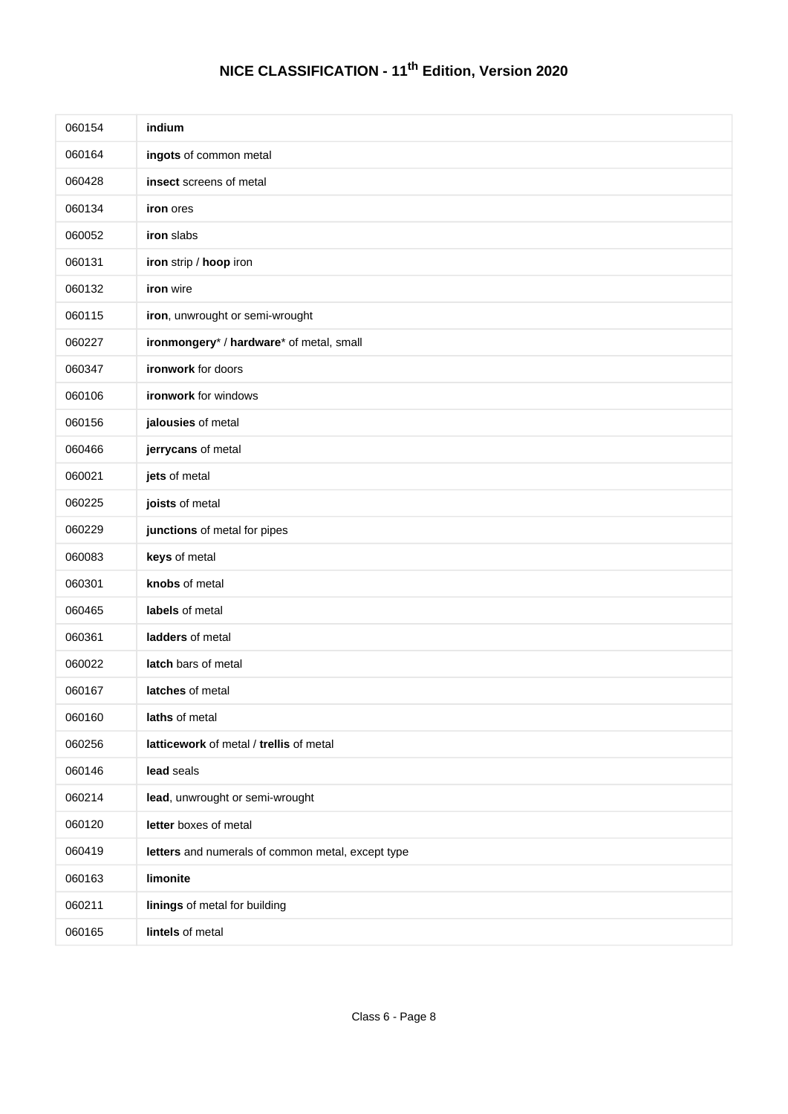| 060154 | indium                                            |
|--------|---------------------------------------------------|
| 060164 | ingots of common metal                            |
| 060428 | insect screens of metal                           |
| 060134 | iron ores                                         |
| 060052 | iron slabs                                        |
| 060131 | iron strip / hoop iron                            |
| 060132 | iron wire                                         |
| 060115 | iron, unwrought or semi-wrought                   |
| 060227 | ironmongery* / hardware* of metal, small          |
| 060347 | ironwork for doors                                |
| 060106 | ironwork for windows                              |
| 060156 | jalousies of metal                                |
| 060466 | jerrycans of metal                                |
| 060021 | jets of metal                                     |
| 060225 | joists of metal                                   |
| 060229 | junctions of metal for pipes                      |
| 060083 | keys of metal                                     |
| 060301 | knobs of metal                                    |
| 060465 | labels of metal                                   |
| 060361 | ladders of metal                                  |
| 060022 | latch bars of metal                               |
| 060167 | latches of metal                                  |
| 060160 | laths of metal                                    |
| 060256 | latticework of metal / trellis of metal           |
| 060146 | lead seals                                        |
| 060214 | lead, unwrought or semi-wrought                   |
| 060120 | letter boxes of metal                             |
| 060419 | letters and numerals of common metal, except type |
| 060163 | limonite                                          |
| 060211 | linings of metal for building                     |
| 060165 | lintels of metal                                  |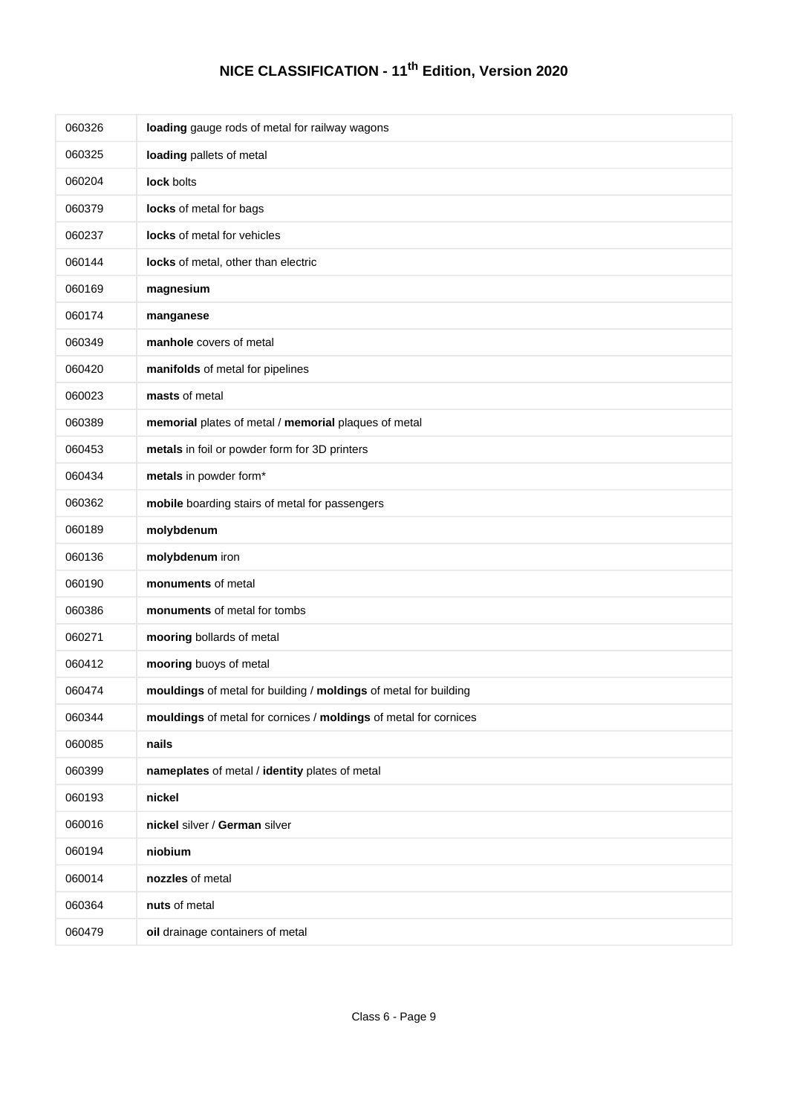| 060326 | loading gauge rods of metal for railway wagons                   |
|--------|------------------------------------------------------------------|
| 060325 | loading pallets of metal                                         |
| 060204 | lock bolts                                                       |
| 060379 | locks of metal for bags                                          |
| 060237 | locks of metal for vehicles                                      |
| 060144 | locks of metal, other than electric                              |
| 060169 | magnesium                                                        |
| 060174 | manganese                                                        |
| 060349 | manhole covers of metal                                          |
| 060420 | manifolds of metal for pipelines                                 |
| 060023 | masts of metal                                                   |
| 060389 | memorial plates of metal / memorial plaques of metal             |
| 060453 | metals in foil or powder form for 3D printers                    |
| 060434 | metals in powder form*                                           |
| 060362 | mobile boarding stairs of metal for passengers                   |
| 060189 | molybdenum                                                       |
| 060136 | molybdenum iron                                                  |
| 060190 | monuments of metal                                               |
| 060386 | monuments of metal for tombs                                     |
| 060271 | mooring bollards of metal                                        |
| 060412 | mooring buoys of metal                                           |
| 060474 | mouldings of metal for building / moldings of metal for building |
| 060344 | mouldings of metal for cornices / moldings of metal for cornices |
| 060085 | nails                                                            |
| 060399 | nameplates of metal / identity plates of metal                   |
| 060193 | nickel                                                           |
| 060016 | nickel silver / German silver                                    |
| 060194 | niobium                                                          |
| 060014 | nozzles of metal                                                 |
| 060364 | nuts of metal                                                    |
| 060479 | oil drainage containers of metal                                 |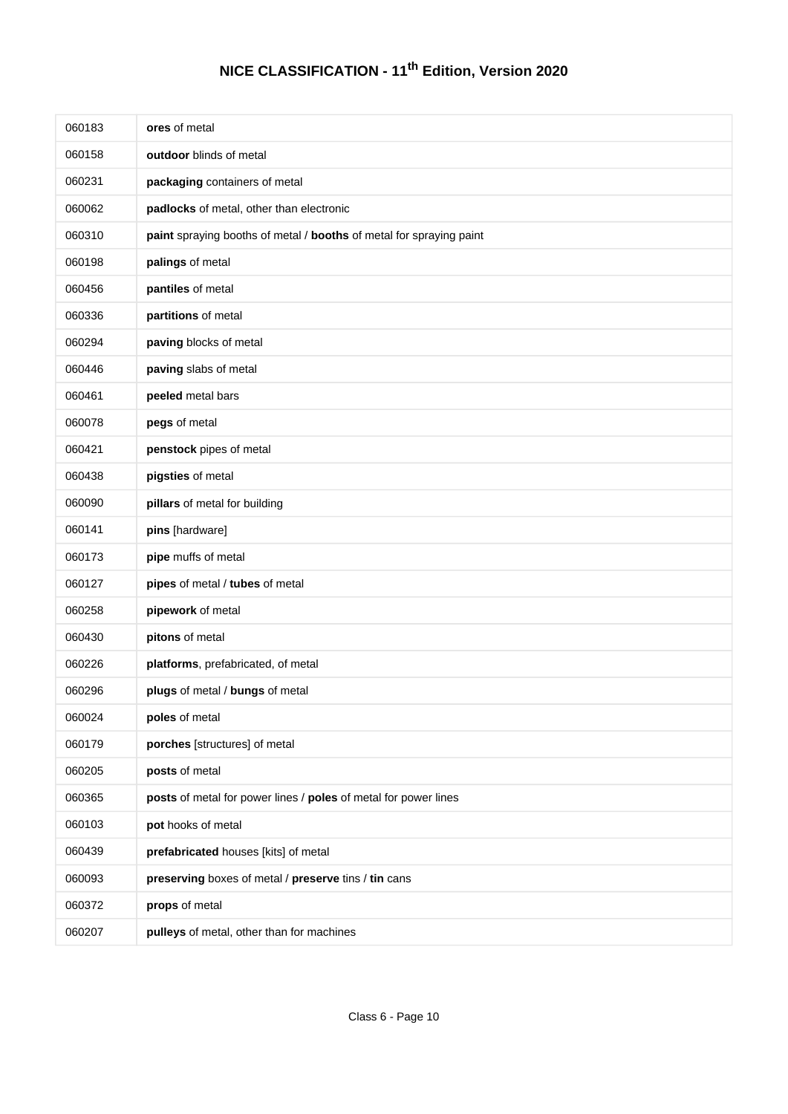| 060183 | ores of metal                                                       |
|--------|---------------------------------------------------------------------|
| 060158 | outdoor blinds of metal                                             |
| 060231 | packaging containers of metal                                       |
| 060062 | padlocks of metal, other than electronic                            |
| 060310 | paint spraying booths of metal / booths of metal for spraying paint |
| 060198 | palings of metal                                                    |
| 060456 | pantiles of metal                                                   |
| 060336 | partitions of metal                                                 |
| 060294 | paving blocks of metal                                              |
| 060446 | paving slabs of metal                                               |
| 060461 | peeled metal bars                                                   |
| 060078 | pegs of metal                                                       |
| 060421 | penstock pipes of metal                                             |
| 060438 | pigsties of metal                                                   |
| 060090 | pillars of metal for building                                       |
| 060141 | pins [hardware]                                                     |
| 060173 | pipe muffs of metal                                                 |
| 060127 | pipes of metal / tubes of metal                                     |
| 060258 | pipework of metal                                                   |
| 060430 | pitons of metal                                                     |
| 060226 | platforms, prefabricated, of metal                                  |
| 060296 | plugs of metal / bungs of metal                                     |
| 060024 | poles of metal                                                      |
| 060179 | porches [structures] of metal                                       |
| 060205 | posts of metal                                                      |
| 060365 | posts of metal for power lines / poles of metal for power lines     |
| 060103 | pot hooks of metal                                                  |
| 060439 | prefabricated houses [kits] of metal                                |
| 060093 | preserving boxes of metal / preserve tins / tin cans                |
| 060372 | props of metal                                                      |
| 060207 | pulleys of metal, other than for machines                           |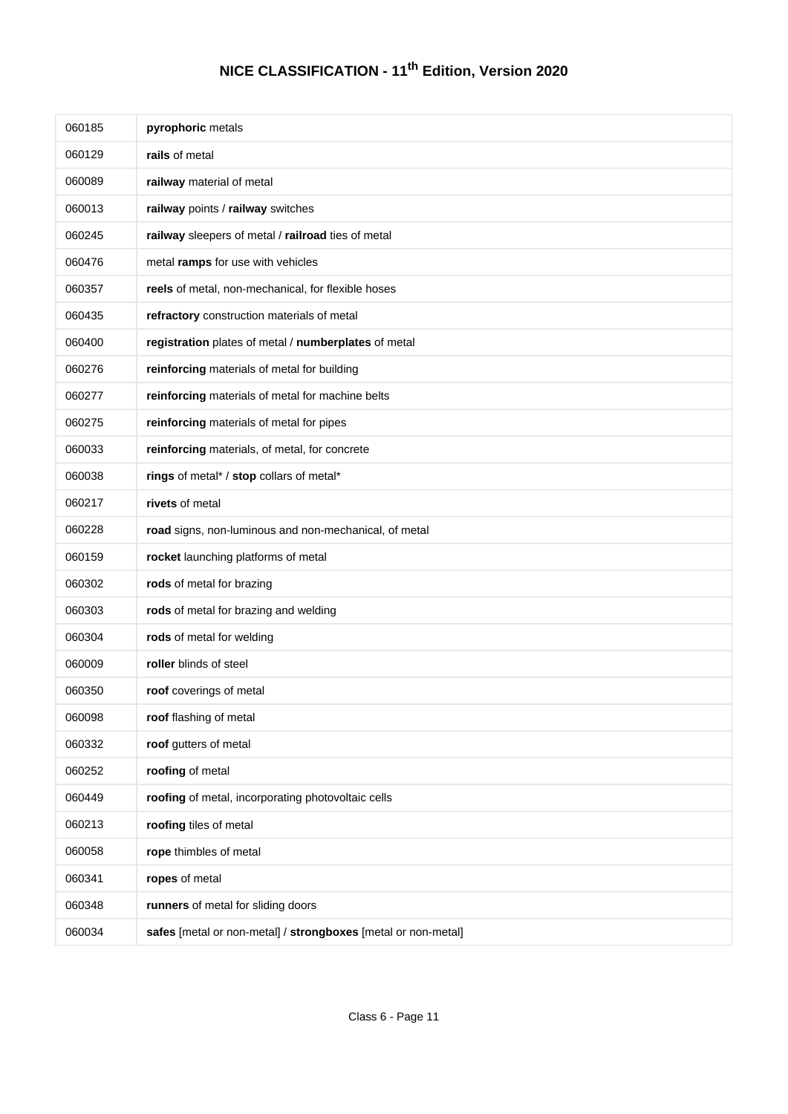| 060185 | pyrophoric metals                                             |
|--------|---------------------------------------------------------------|
| 060129 | rails of metal                                                |
| 060089 | railway material of metal                                     |
| 060013 | railway points / railway switches                             |
| 060245 | railway sleepers of metal / railroad ties of metal            |
| 060476 | metal ramps for use with vehicles                             |
| 060357 | reels of metal, non-mechanical, for flexible hoses            |
| 060435 | refractory construction materials of metal                    |
| 060400 | registration plates of metal / numberplates of metal          |
| 060276 | reinforcing materials of metal for building                   |
| 060277 | reinforcing materials of metal for machine belts              |
| 060275 | reinforcing materials of metal for pipes                      |
| 060033 | reinforcing materials, of metal, for concrete                 |
| 060038 | rings of metal* / stop collars of metal*                      |
| 060217 | rivets of metal                                               |
| 060228 | road signs, non-luminous and non-mechanical, of metal         |
| 060159 | rocket launching platforms of metal                           |
| 060302 | rods of metal for brazing                                     |
| 060303 | rods of metal for brazing and welding                         |
| 060304 | rods of metal for welding                                     |
| 060009 | roller blinds of steel                                        |
| 060350 | roof coverings of metal                                       |
| 060098 | roof flashing of metal                                        |
| 060332 | roof gutters of metal                                         |
| 060252 | roofing of metal                                              |
| 060449 | roofing of metal, incorporating photovoltaic cells            |
| 060213 | roofing tiles of metal                                        |
| 060058 | rope thimbles of metal                                        |
| 060341 | ropes of metal                                                |
| 060348 | runners of metal for sliding doors                            |
| 060034 | safes [metal or non-metal] / strongboxes [metal or non-metal] |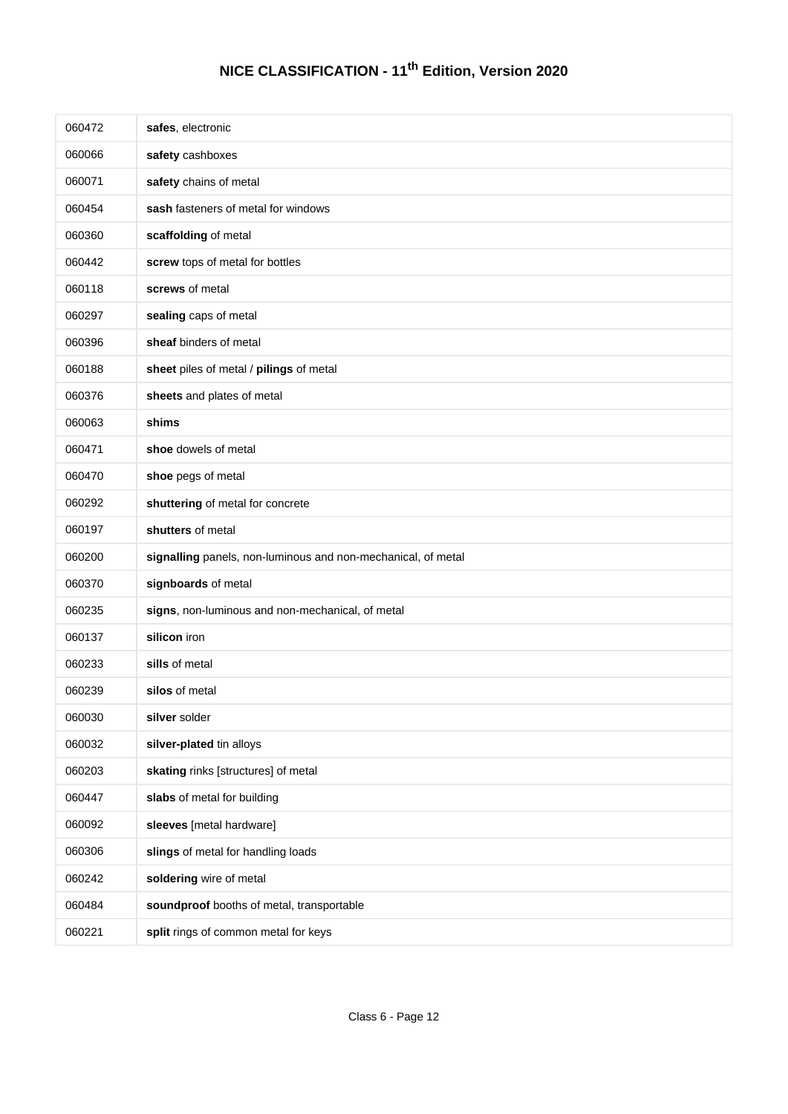| 060472 | safes, electronic                                            |
|--------|--------------------------------------------------------------|
| 060066 | safety cashboxes                                             |
| 060071 | safety chains of metal                                       |
| 060454 | sash fasteners of metal for windows                          |
| 060360 | scaffolding of metal                                         |
| 060442 | screw tops of metal for bottles                              |
| 060118 | screws of metal                                              |
| 060297 | sealing caps of metal                                        |
| 060396 | sheaf binders of metal                                       |
| 060188 | sheet piles of metal / pilings of metal                      |
| 060376 | sheets and plates of metal                                   |
| 060063 | shims                                                        |
| 060471 | shoe dowels of metal                                         |
| 060470 | shoe pegs of metal                                           |
| 060292 | shuttering of metal for concrete                             |
| 060197 | shutters of metal                                            |
| 060200 | signalling panels, non-luminous and non-mechanical, of metal |
| 060370 | signboards of metal                                          |
| 060235 | signs, non-luminous and non-mechanical, of metal             |
| 060137 | silicon iron                                                 |
| 060233 | sills of metal                                               |
| 060239 | silos of metal                                               |
| 060030 | silver solder                                                |
| 060032 | silver-plated tin alloys                                     |
| 060203 | skating rinks [structures] of metal                          |
| 060447 | slabs of metal for building                                  |
| 060092 | sleeves [metal hardware]                                     |
| 060306 | slings of metal for handling loads                           |
| 060242 | soldering wire of metal                                      |
| 060484 | soundproof booths of metal, transportable                    |
| 060221 | split rings of common metal for keys                         |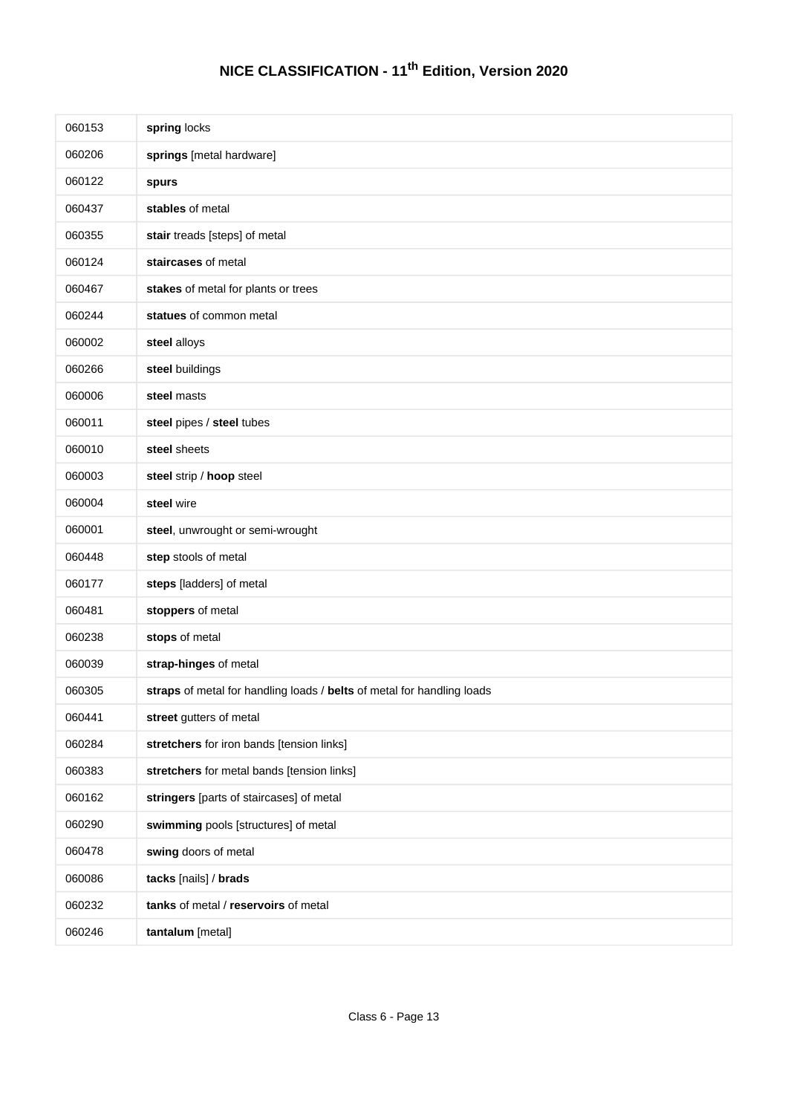| 060153 | spring locks                                                           |
|--------|------------------------------------------------------------------------|
| 060206 | springs [metal hardware]                                               |
| 060122 | spurs                                                                  |
| 060437 | stables of metal                                                       |
| 060355 | stair treads [steps] of metal                                          |
| 060124 | staircases of metal                                                    |
| 060467 | stakes of metal for plants or trees                                    |
| 060244 | statues of common metal                                                |
| 060002 | steel alloys                                                           |
| 060266 | steel buildings                                                        |
| 060006 | steel masts                                                            |
| 060011 | steel pipes / steel tubes                                              |
| 060010 | steel sheets                                                           |
| 060003 | steel strip / hoop steel                                               |
| 060004 | steel wire                                                             |
| 060001 | steel, unwrought or semi-wrought                                       |
| 060448 | step stools of metal                                                   |
| 060177 | steps [ladders] of metal                                               |
| 060481 | stoppers of metal                                                      |
| 060238 | stops of metal                                                         |
| 060039 | strap-hinges of metal                                                  |
| 060305 | straps of metal for handling loads / belts of metal for handling loads |
| 060441 | street gutters of metal                                                |
| 060284 | stretchers for iron bands [tension links]                              |
| 060383 | stretchers for metal bands [tension links]                             |
| 060162 | stringers [parts of staircases] of metal                               |
| 060290 | swimming pools [structures] of metal                                   |
| 060478 | swing doors of metal                                                   |
| 060086 | tacks [nails] / brads                                                  |
| 060232 | tanks of metal / reservoirs of metal                                   |
| 060246 | tantalum [metal]                                                       |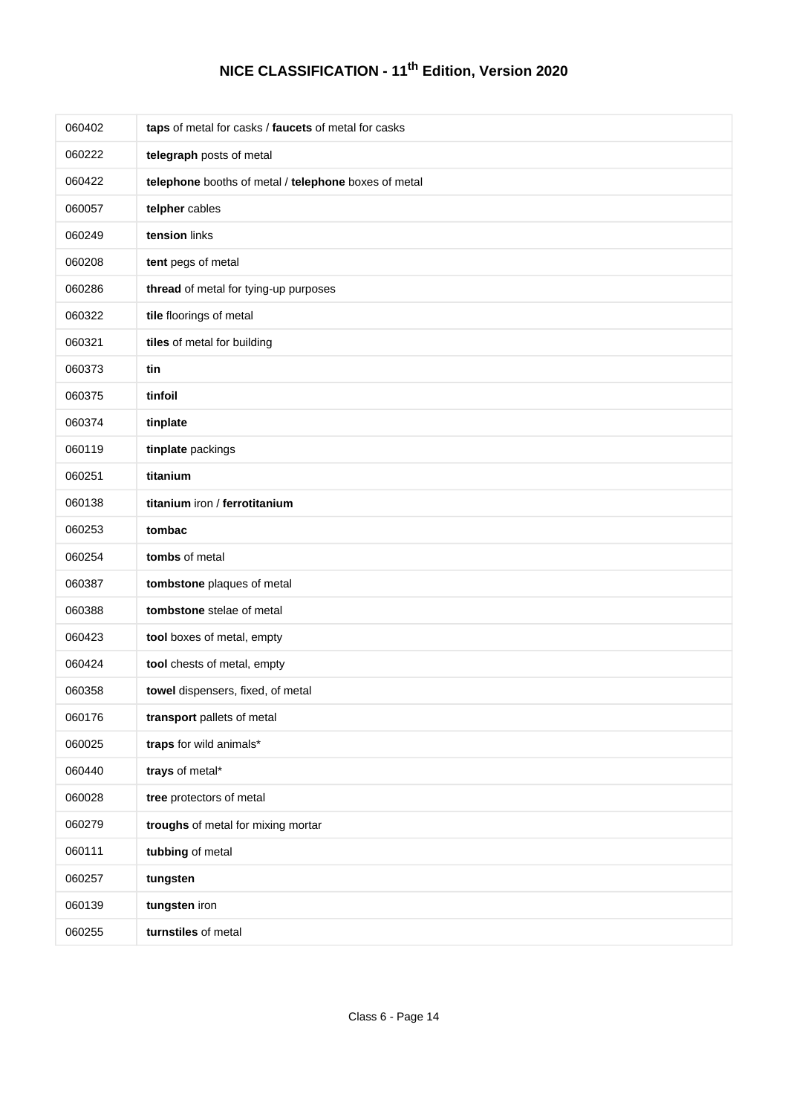| 060402 | taps of metal for casks / faucets of metal for casks |
|--------|------------------------------------------------------|
| 060222 | telegraph posts of metal                             |
| 060422 | telephone booths of metal / telephone boxes of metal |
| 060057 | telpher cables                                       |
| 060249 | tension links                                        |
| 060208 | tent pegs of metal                                   |
| 060286 | thread of metal for tying-up purposes                |
| 060322 | tile floorings of metal                              |
| 060321 | tiles of metal for building                          |
| 060373 | tin                                                  |
| 060375 | tinfoil                                              |
| 060374 | tinplate                                             |
| 060119 | tinplate packings                                    |
| 060251 | titanium                                             |
| 060138 | titanium iron / ferrotitanium                        |
| 060253 | tombac                                               |
| 060254 | tombs of metal                                       |
| 060387 | tombstone plaques of metal                           |
| 060388 | tombstone stelae of metal                            |
| 060423 | tool boxes of metal, empty                           |
| 060424 | tool chests of metal, empty                          |
| 060358 | towel dispensers, fixed, of metal                    |
| 060176 | transport pallets of metal                           |
| 060025 | traps for wild animals*                              |
| 060440 | trays of metal*                                      |
| 060028 | tree protectors of metal                             |
| 060279 | troughs of metal for mixing mortar                   |
| 060111 | tubbing of metal                                     |
| 060257 | tungsten                                             |
| 060139 | tungsten iron                                        |
| 060255 | turnstiles of metal                                  |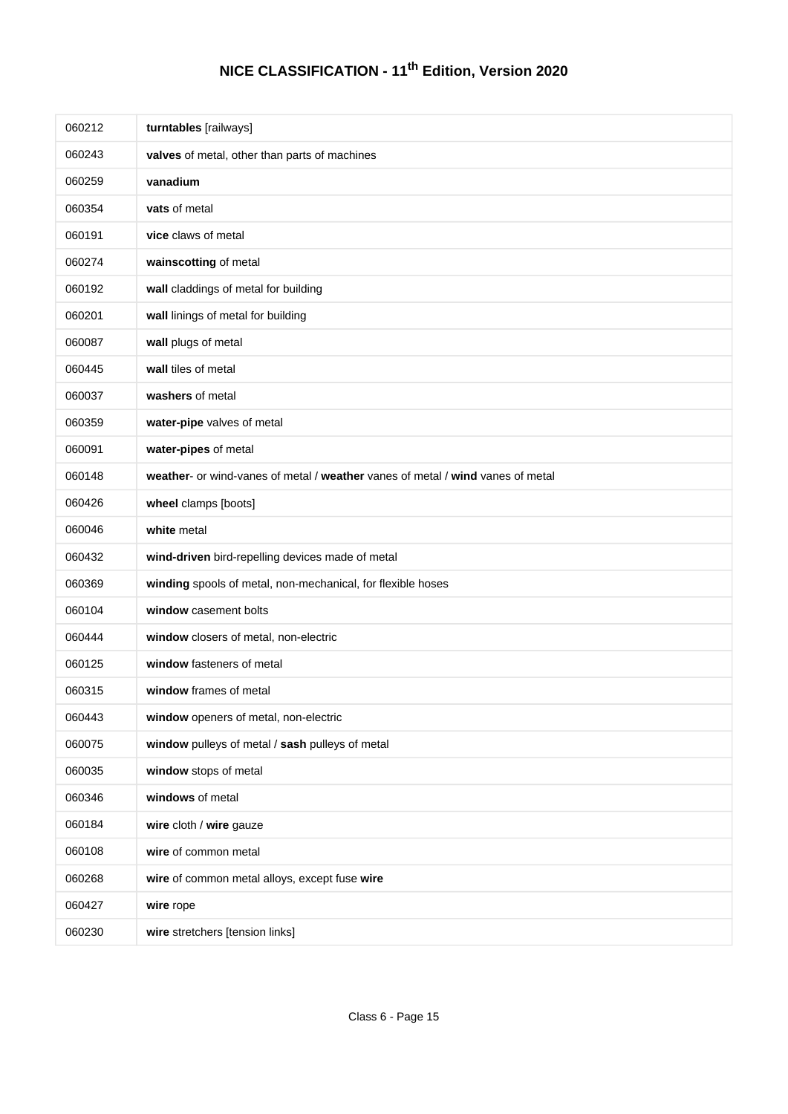| 060212 | turntables [railways]                                                          |
|--------|--------------------------------------------------------------------------------|
| 060243 | valves of metal, other than parts of machines                                  |
| 060259 | vanadium                                                                       |
| 060354 | vats of metal                                                                  |
| 060191 | vice claws of metal                                                            |
| 060274 | wainscotting of metal                                                          |
| 060192 | wall claddings of metal for building                                           |
| 060201 | wall linings of metal for building                                             |
| 060087 | wall plugs of metal                                                            |
| 060445 | wall tiles of metal                                                            |
| 060037 | washers of metal                                                               |
| 060359 | water-pipe valves of metal                                                     |
| 060091 | water-pipes of metal                                                           |
| 060148 | weather- or wind-vanes of metal / weather vanes of metal / wind vanes of metal |
| 060426 | wheel clamps [boots]                                                           |
| 060046 | white metal                                                                    |
| 060432 | wind-driven bird-repelling devices made of metal                               |
| 060369 | winding spools of metal, non-mechanical, for flexible hoses                    |
| 060104 | window casement bolts                                                          |
| 060444 | window closers of metal, non-electric                                          |
| 060125 | window fasteners of metal                                                      |
| 060315 | window frames of metal                                                         |
| 060443 | window openers of metal, non-electric                                          |
| 060075 | window pulleys of metal / sash pulleys of metal                                |
| 060035 | window stops of metal                                                          |
| 060346 | windows of metal                                                               |
| 060184 | wire cloth / wire gauze                                                        |
| 060108 | wire of common metal                                                           |
| 060268 | wire of common metal alloys, except fuse wire                                  |
| 060427 | wire rope                                                                      |
| 060230 | wire stretchers [tension links]                                                |